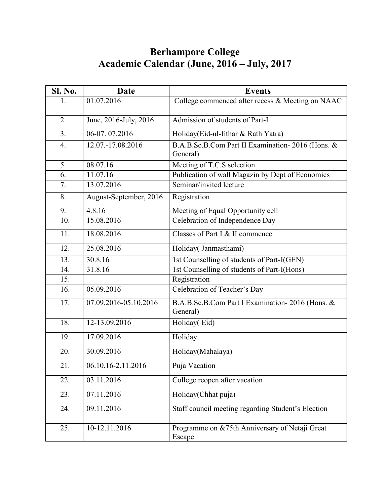## **Berhampore College Academic Calendar (June, 2016 – July, 2017**

| Sl. No.          | <b>Date</b>            | <b>Events</b>                                                |
|------------------|------------------------|--------------------------------------------------------------|
| 1.               | 01.07.2016             | College commenced after recess & Meeting on NAAC             |
| 2.               | June, 2016-July, 2016  | Admission of students of Part-I                              |
| 3 <sub>1</sub>   | 06-07.07.2016          | Holiday(Eid-ul-fithar & Rath Yatra)                          |
| $\overline{4}$ . | 12.07.-17.08.2016      | B.A.B.Sc.B.Com Part II Examination-2016 (Hons. &<br>General) |
| 5.               | 08.07.16               | Meeting of T.C.S selection                                   |
| 6.               | 11.07.16               | Publication of wall Magazin by Dept of Economics             |
| 7.               | 13.07.2016             | Seminar/invited lecture                                      |
| 8.               | August-September, 2016 | Registration                                                 |
| 9.               | 4.8.16                 | Meeting of Equal Opportunity cell                            |
| 10.              | 15.08.2016             | Celebration of Independence Day                              |
| 11.              | 18.08.2016             | Classes of Part I & II commence                              |
| 12.              | 25.08.2016             | Holiday( Janmasthami)                                        |
| 13.              | 30.8.16                | 1st Counselling of students of Part-I(GEN)                   |
| 14.              | 31.8.16                | 1st Counselling of students of Part-I(Hons)                  |
| 15.              |                        | Registration                                                 |
| 16.              | 05.09.2016             | Celebration of Teacher's Day                                 |
| 17.              | 07.09.2016-05.10.2016  | B.A.B.Sc.B.Com Part I Examination-2016 (Hons. &<br>General)  |
| 18.              | 12-13.09.2016          | Holiday(Eid)                                                 |
| 19.              | 17.09.2016             | Holiday                                                      |
| 20.              | 30.09.2016             | Holiday(Mahalaya)                                            |
| 21.              | 06.10.16-2.11.2016     | Puja Vacation                                                |
| 22.              | 03.11.2016             | College reopen after vacation                                |
| 23.              | 07.11.2016             | Holiday(Chhat puja)                                          |
| 24.              | 09.11.2016             | Staff council meeting regarding Student's Election           |
| 25.              | 10-12.11.2016          | Programme on &75th Anniversary of Netaji Great<br>Escape     |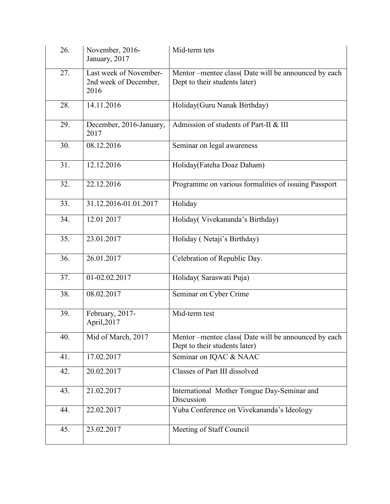| 26. | November, 2016-<br>January, 2017                        | Mid-term tets                                                                        |
|-----|---------------------------------------------------------|--------------------------------------------------------------------------------------|
| 27. | Last week of November-<br>2nd week of December,<br>2016 | Mentor-mentee class (Date will be announced by each<br>Dept to their students later) |
| 28. | 14.11.2016                                              | Holiday(Guru Nanak Birthday)                                                         |
| 29. | December, 2016-January,<br>2017                         | Admission of students of Part-II & III                                               |
| 30. | 08.12.2016                                              | Seminar on legal awareness                                                           |
| 31. | 12.12.2016                                              | Holiday(Fateha Doaz Daham)                                                           |
| 32. | 22.12.2016                                              | Programme on various formalities of issuing Passport                                 |
| 33. | 31.12.2016-01.01.2017                                   | Holiday                                                                              |
| 34. | 12.01 2017                                              | Holiday(Vivekananda's Birthday)                                                      |
| 35. | 23.01.2017                                              | Holiday (Netaji's Birthday)                                                          |
| 36. | 26.01.2017                                              | Celebration of Republic Day.                                                         |
| 37. | 01-02.02.2017                                           | Holiday( Saraswati Puja)                                                             |
| 38. | 08.02.2017                                              | Seminar on Cyber Crime                                                               |
| 39. | February, 2017-<br>April, 2017                          | Mid-term test                                                                        |
| 40. | Mid of March, 2017                                      | Mentor-mentee class(Date will be announced by each<br>Dept to their students later)  |
| 41. | 17.02.2017                                              | Seminar on IQAC & NAAC                                                               |
| 42. | 20.02.2017                                              | Classes of Part III dissolved                                                        |
| 43. | 21.02.2017                                              | International Mother Tongue Day-Seminar and<br>Discussion                            |
| 44. | 22.02.2017                                              | Yuba Conference on Vivekananda's Ideology                                            |
| 45. | 23.02.2017                                              | Meeting of Staff Council                                                             |